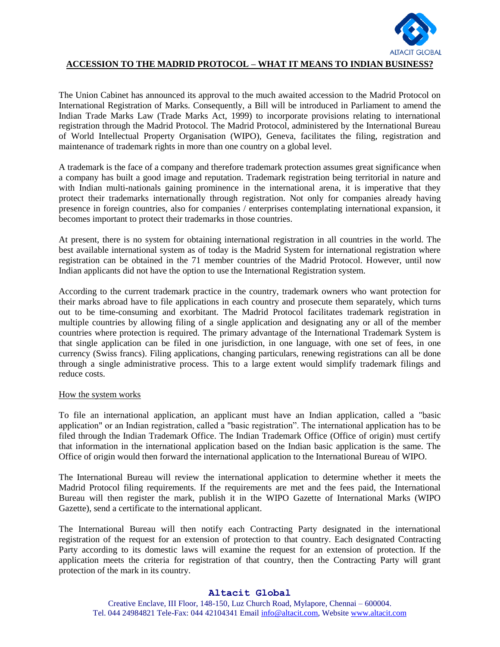

## **ACCESSION TO THE MADRID PROTOCOL – WHAT IT MEANS TO INDIAN BUSINESS?**

The Union Cabinet has announced its approval to the much awaited accession to the Madrid Protocol on International Registration of Marks. Consequently, a Bill will be introduced in Parliament to amend the Indian Trade Marks Law (Trade Marks Act, 1999) to incorporate provisions relating to international registration through the Madrid Protocol. The Madrid Protocol, administered by the International Bureau of World Intellectual Property Organisation (WIPO), Geneva, facilitates the filing, registration and maintenance of trademark rights in more than one country on a global level.

A trademark is the face of a company and therefore trademark protection assumes great significance when a company has built a good image and reputation. Trademark registration being territorial in nature and with Indian multi-nationals gaining prominence in the international arena, it is imperative that they protect their trademarks internationally through registration. Not only for companies already having presence in foreign countries, also for companies / enterprises contemplating international expansion, it becomes important to protect their trademarks in those countries.

At present, there is no system for obtaining international registration in all countries in the world. The best available international system as of today is the Madrid System for international registration where registration can be obtained in the 71 member countries of the Madrid Protocol. However, until now Indian applicants did not have the option to use the International Registration system.

According to the current trademark practice in the country, trademark owners who want protection for their marks abroad have to file applications in each country and prosecute them separately, which turns out to be time-consuming and exorbitant. The Madrid Protocol facilitates trademark registration in multiple countries by allowing filing of a single application and designating any or all of the member countries where protection is required. The primary advantage of the International Trademark System is that single application can be filed in one jurisdiction, in one language, with one set of fees, in one currency (Swiss francs). Filing applications, changing particulars, renewing registrations can all be done through a single administrative process. This to a large extent would simplify trademark filings and reduce costs.

## How the system works

To file an international application, an applicant must have an Indian application, called a "basic application" or an Indian registration, called a "basic registration". The international application has to be filed through the Indian Trademark Office. The Indian Trademark Office (Office of origin) must certify that information in the international application based on the Indian basic application is the same. The Office of origin would then forward the international application to the International Bureau of WIPO.

The International Bureau will review the international application to determine whether it meets the Madrid Protocol filing requirements. If the requirements are met and the fees paid, the International Bureau will then register the mark, publish it in the WIPO Gazette of International Marks (WIPO Gazette), send a certificate to the international applicant.

The International Bureau will then notify each Contracting Party designated in the international registration of the request for an extension of protection to that country. Each designated Contracting Party according to its domestic laws will examine the request for an extension of protection. If the application meets the criteria for registration of that country, then the Contracting Party will grant protection of the mark in its country.

## **Altacit Global**